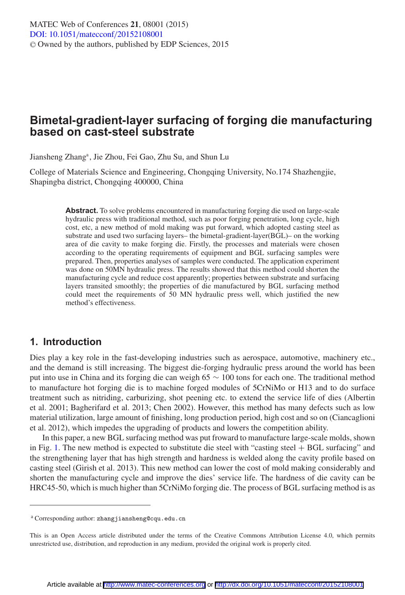# **Bimetal-gradient-layer surfacing of forging die manufacturing based on cast-steel substrate**

Jiansheng Zhang<sup>a</sup>, Jie Zhou, Fei Gao, Zhu Su, and Shun Lu

College of Materials Science and Engineering, Chongqing University, No.174 Shazhengjie, Shapingba district, Chongqing 400000, China

> **Abstract.** To solve problems encountered in manufacturing forging die used on large-scale hydraulic press with traditional method, such as poor forging penetration, long cycle, high cost, etc, a new method of mold making was put forward, which adopted casting steel as substrate and used two surfacing layers– the bimetal-gradient-layer(BGL)– on the working area of die cavity to make forging die. Firstly, the processes and materials were chosen according to the operating requirements of equipment and BGL surfacing samples were prepared. Then, properties analyses of samples were conducted. The application experiment was done on 50MN hydraulic press. The results showed that this method could shorten the manufacturing cycle and reduce cost apparently; properties between substrate and surfacing layers transited smoothly; the properties of die manufactured by BGL surfacing method could meet the requirements of 50 MN hydraulic press well, which justified the new method's effectiveness.

## **1. Introduction**

Dies play a key role in the fast-developing industries such as aerospace, automotive, machinery etc., and the demand is still increasing. The biggest die-forging hydraulic press around the world has been put into use in China and its forging die can weigh 65 ∼ 100 tons for each one. The traditional method to manufacture hot forging die is to machine forged modules of 5CrNiMo or H13 and to do surface treatment such as nitriding, carburizing, shot peening etc. to extend the service life of dies (Albertin et al. 2001; Bagherifard et al. 2013; Chen 2002). However, this method has many defects such as low material utilization, large amount of finishing, long production period, high cost and so on (Ciancaglioni et al. 2012), which impedes the upgrading of products and lowers the competition ability.

In this paper, a new BGL surfacing method was put froward to manufacture large-scale molds, shown in Fig. [1.](#page-1-0) The new method is expected to substitute die steel with "casting steel  $+$  BGL surfacing" and the strengthening layer that has high strength and hardness is welded along the cavity profile based on casting steel (Girish et al. 2013). This new method can lower the cost of mold making considerably and shorten the manufacturing cycle and improve the dies' service life. The hardness of die cavity can be HRC45-50, which is much higher than 5CrNiMo forging die. The process of BGL surfacing method is as

<sup>a</sup> Corresponding author: zhangjiansheng@cqu.edu.cn

This is an Open Access article distributed under the terms of the Creative Commons Attribution License 4.0, which permits unrestricted use, distribution, and reproduction in any medium, provided the original work is properly cited.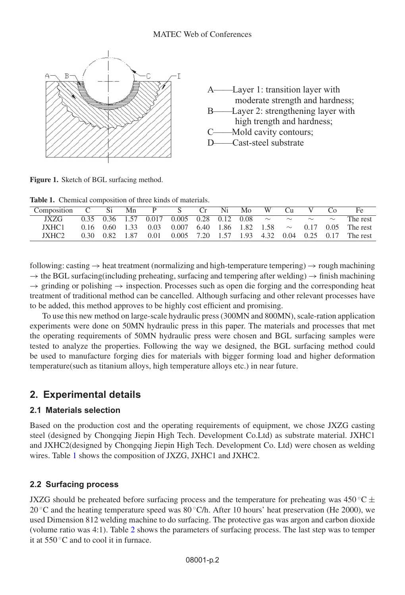<span id="page-1-0"></span>

**Figure 1.** Sketch of BGL surfacing method.

<span id="page-1-1"></span>**Table 1.** Chemical composition of three kinds of materials.

| Composition C Si Mn P S Cr Ni Mo W Cu |  |  |  |  |  | $C_{\Omega}$ |                                                                               |
|---------------------------------------|--|--|--|--|--|--------------|-------------------------------------------------------------------------------|
| IXZG.                                 |  |  |  |  |  |              | 0.35 0.36 1.57 0.017 0.005 0.28 0.12 0.08 $\sim \sim \sim \sim \sim$ The rest |
| IXHC1                                 |  |  |  |  |  |              | 0.16 0.60 1.33 0.03 0.007 6.40 1.86 1.82 1.58 $\sim$ 0.17 0.05 The rest       |
| IXHC <sub>2</sub>                     |  |  |  |  |  |              | 0.30 0.82 1.87 0.01 0.005 7.20 1.57 1.93 4.32 0.04 0.25 0.17 The rest         |

following: casting  $\rightarrow$  heat treatment (normalizing and high-temperature tempering)  $\rightarrow$  rough machining  $\rightarrow$  the BGL surfacing(including preheating, surfacing and tempering after welding)  $\rightarrow$  finish machining  $\rightarrow$  grinding or polishing  $\rightarrow$  inspection. Processes such as open die forging and the corresponding heat treatment of traditional method can be cancelled. Although surfacing and other relevant processes have to be added, this method approves to be highly cost efficient and promising.

To use this new method on large-scale hydraulic press (300MN and 800MN), scale-ration application experiments were done on 50MN hydraulic press in this paper. The materials and processes that met the operating requirements of 50MN hydraulic press were chosen and BGL surfacing samples were tested to analyze the properties. Following the way we designed, the BGL surfacing method could be used to manufacture forging dies for materials with bigger forming load and higher deformation temperature(such as titanium alloys, high temperature alloys etc.) in near future.

# **2. Experimental details**

## **2.1 Materials selection**

Based on the production cost and the operating requirements of equipment, we chose JXZG casting steel (designed by Chongqing Jiepin High Tech. Development Co.Ltd) as substrate material. JXHC1 and JXHC2(designed by Chongqing Jiepin High Tech. Development Co. Ltd) were chosen as welding wires. Table [1](#page-1-1) shows the composition of JXZG, JXHC1 and JXHC2.

## **2.2 Surfacing process**

JXZG should be preheated before surfacing process and the temperature for preheating was 450 °C  $\pm$ 20  $\degree$ C and the heating temperature speed was 80  $\degree$ C/h. After 10 hours' heat preservation (He 2000), we used Dimension 812 welding machine to do surfacing. The protective gas was argon and carbon dioxide (volume ratio was 4:1). Table [2](#page-2-0) shows the parameters of surfacing process. The last step was to temper it at  $550\,^{\circ}$ C and to cool it in furnace.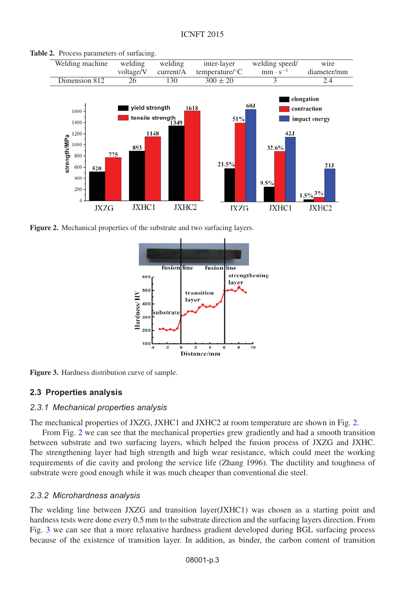

<span id="page-2-1"></span><span id="page-2-0"></span>**Table 2.** Process parameters of surfacing.

<span id="page-2-2"></span>



**Figure 3.** Hardness distribution curve of sample.

## **2.3 Properties analysis**

#### *2.3.1 Mechanical properties analysis*

The mechanical properties of JXZG, JXHC1 and JXHC2 at room temperature are shown in Fig. [2.](#page-2-1)

From Fig. [2](#page-2-1) we can see that the mechanical properties grew gradiently and had a smooth transition between substrate and two surfacing layers, which helped the fusion process of JXZG and JXHC. The strengthening layer had high strength and high wear resistance, which could meet the working requirements of die cavity and prolong the service life (Zhang 1996). The ductility and toughness of substrate were good enough while it was much cheaper than conventional die steel.

## *2.3.2 Microhardness analysis*

The welding line between JXZG and transition layer(JXHC1) was chosen as a starting point and hardness tests were done every 0.5 mm to the substrate direction and the surfacing layers direction. From Fig. [3](#page-2-2) we can see that a more relaxative hardness gradient developed during BGL surfacing process because of the existence of transition layer. In addition, as binder, the carbon content of transition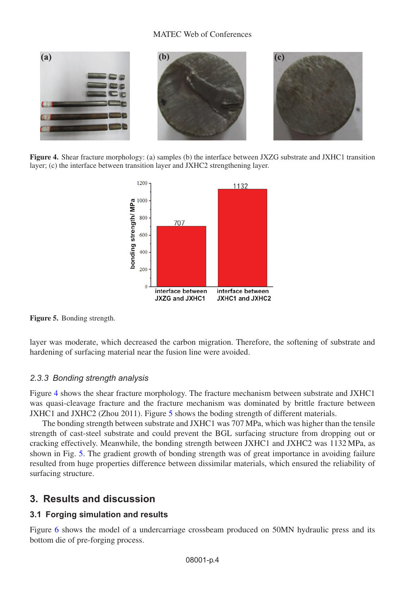#### MATEC Web of Conferences

<span id="page-3-1"></span><span id="page-3-0"></span>

**Figure 4.** Shear fracture morphology: (a) samples (b) the interface between JXZG substrate and JXHC1 transition layer; (c) the interface between transition layer and JXHC2 strengthening layer.



**Figure 5.** Bonding strength.

layer was moderate, which decreased the carbon migration. Therefore, the softening of substrate and hardening of surfacing material near the fusion line were avoided.

## *2.3.3 Bonding strength analysis*

Figure [4](#page-3-0) shows the shear fracture morphology. The fracture mechanism between substrate and JXHC1 was quasi-cleavage fracture and the fracture mechanism was dominated by brittle fracture between JXHC1 and JXHC2 (Zhou 2011). Figure [5](#page-3-1) shows the boding strength of different materials.

The bonding strength between substrate and JXHC1 was 707 MPa, which was higher than the tensile strength of cast-steel substrate and could prevent the BGL surfacing structure from dropping out or cracking effectively. Meanwhile, the bonding strength between JXHC1 and JXHC2 was 1132 MPa, as shown in Fig. [5.](#page-3-1) The gradient growth of bonding strength was of great importance in avoiding failure resulted from huge properties difference between dissimilar materials, which ensured the reliability of surfacing structure.

## **3. Results and discussion**

## **3.1 Forging simulation and results**

Figure [6](#page-4-0) shows the model of a undercarriage crossbeam produced on 50MN hydraulic press and its bottom die of pre-forging process.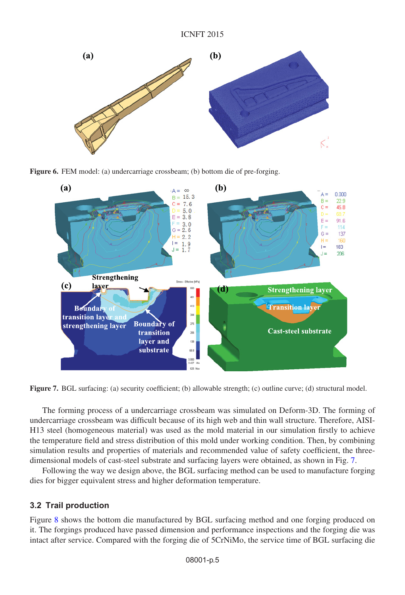<span id="page-4-0"></span>

<span id="page-4-1"></span>**Figure 6.** FEM model: (a) undercarriage crossbeam; (b) bottom die of pre-forging.



**Figure 7.** BGL surfacing: (a) security coefficient; (b) allowable strength; (c) outline curve; (d) structural model.

The forming process of a undercarriage crossbeam was simulated on Deform-3D. The forming of undercarriage crossbeam was difficult because of its high web and thin wall structure. Therefore, AISI-H13 steel (homogeneous material) was used as the mold material in our simulation firstly to achieve the temperature field and stress distribution of this mold under working condition. Then, by combining simulation results and properties of materials and recommended value of safety coefficient, the threedimensional models of cast-steel substrate and surfacing layers were obtained, as shown in Fig. [7.](#page-4-1)

Following the way we design above, the BGL surfacing method can be used to manufacture forging dies for bigger equivalent stress and higher deformation temperature.

## **3.2 Trail production**

Figure [8](#page-5-0) shows the bottom die manufactured by BGL surfacing method and one forging produced on it. The forgings produced have passed dimension and performance inspections and the forging die was intact after service. Compared with the forging die of 5CrNiMo, the service time of BGL surfacing die